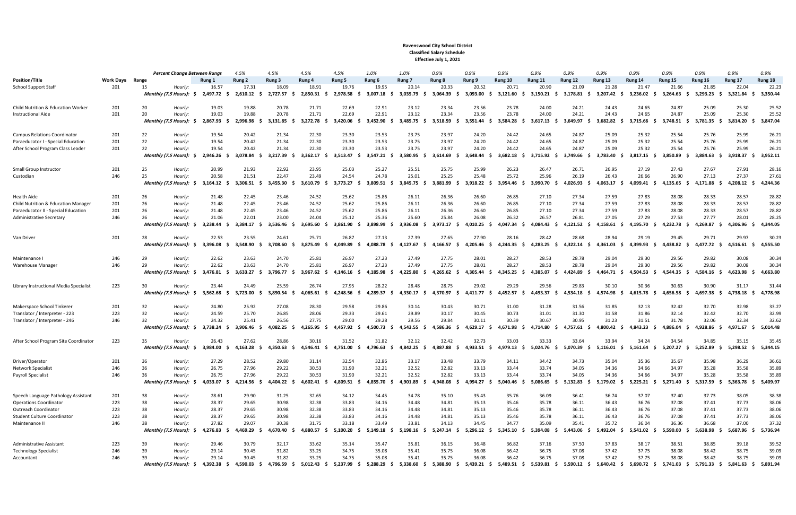## Ravenswood City School District Classified Salary Schedule Effective July 1, 2021

|                                        |                  |          | <b>Percent Change Between Rungs</b> |                   | 4.5%                     | 4.5%                   | 4.5%              | 4.5%                         | 1.0%                    | 1.0%                     | 0.9%              | 0.9%                     | 0.9%                   | 0.9%                     | 0.9%              | 0.9%                   | 0.9%              | 0.9%                     | 0.9%                     | 0.9%                           | 0.9%              |
|----------------------------------------|------------------|----------|-------------------------------------|-------------------|--------------------------|------------------------|-------------------|------------------------------|-------------------------|--------------------------|-------------------|--------------------------|------------------------|--------------------------|-------------------|------------------------|-------------------|--------------------------|--------------------------|--------------------------------|-------------------|
| <b>Position/Title</b>                  | <b>Work Days</b> | Range    |                                     | Rung 1            | Rung 2                   | Rung 3                 | Rung 4            | Rung 5                       | Rung 6                  | Rung <sub>7</sub>        | Rung 8            | Rung 9                   | Rung 10                | Rung 11                  | Rung 12           | Rung 13                | Rung 14           | Rung 15                  | Rung 16                  | Rung 17                        | Rung 18           |
| <b>School Support Staff</b>            | 201              | 15       | Hourly:                             | 16.57             | 17.31                    | 18.09                  | 18.91             | 19.76                        | 19.95                   | 20.14                    | 20.33             | 20.52                    | 20.71                  | 20.90                    | 21.09             | 21.28                  | 21.47             | 21.66                    | 21.85                    | 22.04                          | 22.23             |
|                                        |                  |          | Monthly (7.5 Hours):                | 2,497.72<br>- S   | 2,610.12                 | 2,727.57               | 2,850.31          | 2,978.58<br>- 5              | 3.007.18                | 3,035.79                 | 3,064.39          | 3,093.00                 | 3,121.60               | 3,150.21                 | 3,178.81          | 3,207.42               | 3,236.02          | 3.264.63                 | 3,293.23<br>-S           | 3,321.84                       | 3,350.44          |
|                                        |                  |          |                                     |                   |                          |                        |                   |                              |                         |                          |                   |                          |                        |                          |                   |                        |                   |                          |                          |                                |                   |
| Child Nutrition & Education Worker     | 201              | 20       | Hourly:                             | 19.03             | 19.88                    | 20.78                  | 21.71             | 22.69                        | 22.91                   | 23.12                    | 23.34             | 23.56                    | 23.78                  | 24.00                    | 24.21             | 24.43                  | 24.65             | 24.87                    | 25.09                    | 25.30                          | 25.52             |
| <b>Instructional Aide</b>              | 201              | 20       | Hourly:                             | 19.03             | 19.88                    | 20.78                  | 21.71             | 22.69                        | 22.91                   | 23.12                    | 23.34             | 23.56                    | 23.78                  | 24.00                    | 24.21             | 24.43                  | 24.65             | 24.87                    | 25.09                    | 25.30                          | 25.52             |
|                                        |                  |          | Monthly (7.5 Hours): \$             | 2,867.93          | 2,996.98                 | 3,131.85               | 3,272.78          | 3,420.06<br>-S               | 3,452.90                | 3,485.75                 | 3,518.59          | 3,551.44                 | 3,584.28<br>-S         | 3,617.13                 | 3,649.97          | 3,682.82               | 3,715.66          | 3,748.51                 | 3,781.35<br>- 5          | 3,814.20                       | 3,847.04          |
|                                        |                  |          |                                     |                   |                          |                        |                   |                              |                         |                          |                   |                          |                        |                          |                   |                        |                   |                          |                          |                                |                   |
| <b>Campus Relations Coordinator</b>    | 201              | 22       | Hourly:                             | 19.54             | 20.42                    | 21.34                  | 22.30             | 23.30                        | 23.53                   | 23.75                    | 23.97             | 24.20                    | 24.42                  | 24.65                    | 24.87             | 25.09                  | 25.32             | 25.54                    | 25.76                    | 25.99                          | 26.21             |
| Paraeducator I - Special Education     | 201              | 22       | Hourly:                             | 19.54             | 20.42                    | 21.34                  | 22.30             | 23.30                        | 23.53                   | 23.75                    | 23.97             | 24.20                    | 24.42                  | 24.65                    | 24.87             | 25.09                  | 25.32             | 25.54                    | 25.76                    | 25.99                          | 26.21             |
| After School Program Class Leader      | 201              | 22       | Hourly:                             | 19.54             | 20.42                    | 21.34                  | 22.30             | 23.30                        | 23.53                   | 23.75                    | 23.97             | 24.20                    | 24.42                  | 24.65                    | 24.87             | 25.09                  | 25.32             | 25.54                    | 25.76                    | 25.99                          | 26.21             |
|                                        |                  |          | Monthly (7.5 Hours):                | 2,946.26          | 3,078.84                 | 3,217.39               | 3,362.17          | 3,513.47<br>-S.              | 3,547.21<br>-S          | 3,580.95<br>- S          | 3,614.69          | 3,648.44                 | 3,682.18<br>- \$       | 3,715.92                 | 3,749.66          | 3,783.40               | 3,817.15          | 3,850.89<br>- \$         | 3,884.63<br>- S          | 3,918.37                       | 3,952.11          |
| Small Group Instructor                 | 201              | 25       | Hourly:                             | 20.99             | 21.93                    | 22.92                  | 23.95             | 25.03                        | 25.27                   | 25.51                    | 25.75             | 25.99                    | 26.23                  | 26.47                    | 26.71             | 26.95                  | 27.19             | 27.43                    | 27.67                    | 27.91                          | 28.16             |
| Custodian                              | 246              | 25       | Hourly:                             | 20.58             | 21.51                    | 22.47                  | 23.49             | 24.54                        | 24.78                   | 25.01                    | 25.25             | 25.48                    | 25.72                  | 25.96                    | 26.19             | 26.43                  | 26.66             | 26.90                    | 27.13                    | 27.37                          | 27.61             |
|                                        |                  |          | Monthly (7.5 Hours):                | 3,164.12          | 3,306.51<br>- S          | 3,455.30               | 3,610.79          | 3,773.27<br>-S               | 3,809.51<br>-S          | 3,845.75<br>- S          | 3,881.99          | 3,918.22                 | $3,954.46$ \$          | 3,990.70                 | 4,026.93          | 4,063.17               | 4,099.41<br>- S   | 4,135.65<br>- S          | 4,171.88<br>-S           | 4,208.12                       | 4,244.36          |
|                                        |                  |          |                                     |                   |                          |                        |                   |                              |                         |                          |                   |                          |                        |                          |                   |                        |                   |                          |                          |                                |                   |
| <b>Health Aide</b>                     | 201              | 26       | Hourly:                             | 21.48             | 22.45                    | 23.46                  | 24.52             | 25.62                        | 25.86                   | 26.11                    | 26.36             | 26.60                    | 26.85                  | 27.10                    | 27.34             | 27.59                  | 27.83             | 28.08                    | 28.33                    | 28.57                          | 28.82             |
| Child Nutrition & Education Manager    | 201              | 26       | Hourly:                             | 21.48             | 22.45                    | 23.46                  | 24.52             | 25.62                        | 25.86                   | 26.11                    | 26.36             | 26.60                    | 26.85                  | 27.10                    | 27.34             | 27.59                  | 27.83             | 28.08                    | 28.33                    | 28.57                          | 28.82             |
| Paraeducator II - Special Education    | 201              | 26       | Hourly:                             | 21.48             | 22.45                    | 23.46                  | 24.52             | 25.62                        | 25.86                   | 26.11                    | 26.36             | 26.60                    | 26.85                  | 27.10                    | 27.34             | 27.59                  | 27.83             | 28.08                    | 28.33                    | 28.57                          | 28.82             |
| Administrative Secretary               | 246              | 26       | Hourly:                             | 21.06             | 22.01                    | 23.00                  | 24.04             | 25.12                        | 25.36                   | 25.60                    | 25.84             | 26.08                    | 26.32                  | 26.57                    | 26.81             | 27.05                  | 27.29             | 27.53                    | 27.77                    | 28.01                          | 28.25             |
|                                        |                  |          | Monthly (7.5 Hours):                | 3,238.44          | 3,384.17<br>-S           | 3,536.46               | 3,695.60          | 3,861.90<br>- S              | 3,898.99                | 3,936.08<br>- S          | 3,973.17          | 4,010.25                 | $4.047.34 \quad $$     | 4,084.43                 | 4,121.52          | 4,158.61               | 4,195.70          | 4,232.78<br>- S          | 4,269.87                 | 4,306.96                       | 4,344.05          |
|                                        |                  |          |                                     |                   |                          |                        |                   |                              |                         |                          |                   |                          |                        |                          |                   |                        |                   |                          |                          |                                |                   |
| Van Driver                             | 201              | 28       | Hourly:                             | 22.53             | 23.55                    | 24.61                  | 25.71             | 26.87                        | 27.13                   | 27.39                    | 27.65             | 27.90                    | 28.16                  | 28.42                    | 28.68             | 28.94                  | 29.19             | 29.45                    | 29.71                    | 29.97                          | 30.23             |
|                                        |                  |          | Monthly (7.5 Hours): $\frac{1}{2}$  | 3,396.08          | 3,548.90<br>-S           | 3,708.60<br>-S         | 3,875.49<br>-S    | 4,049.89<br>-S<br>-S         | 4,088.78<br>-S          | 4,127.67<br>- S          | 4,166.57<br>- S   | 4,205.46<br>-S           | 4,244.35 \$            | 4,283.25<br>-S           | 4,322.14<br>- 9   | 4,361.03               | 4,399.93<br>-S    | 4,438.82                 | 4,477.72<br>- \$<br>- S  | 4,516.61                       | 4,555.50          |
|                                        |                  | 29       | Hourly:                             | 22.62             | 23.63                    | 24.70                  | 25.81             | 26.97                        | 27.23                   | 27.49                    | 27.75             | 28.01                    | 28.27                  | 28.53                    | 28.78             | 29.04                  | 29.30             | 29.56                    | 29.82                    | 30.08                          | 30.34             |
| Maintenance I<br>Warehouse Manager     | 246<br>246       | 29       | Hourly:                             | 22.62             | 23.63                    | 24.70                  | 25.81             | 26.97                        | 27.23                   | 27.49                    | 27.75             | 28.01                    | 28.27                  | 28.53                    | 28.78             | 29.04                  | 29.30             | 29.56                    | 29.82                    | 30.08                          | 30.34             |
|                                        |                  |          | Monthly (7.5 Hours):                | 3,476.81          | $3,633.27$ \$            | 3,796.77 \$            | 3,967.62          | 4,146.16<br>- S<br>-S        | 4,185.98<br>-S          | 4,225.80<br>- S          | 4,265.62<br>- S   | 4,305.44<br>-S           | $4,345.25$ \$          | 4,385.07<br>- S          | 4,424.89          | 4,464.71               | 4,504.53<br>-S    | 4,544.35                 | 4,584.16<br>- \$         | 4,623.98<br>-S                 | 4,663.80          |
|                                        |                  |          |                                     |                   |                          |                        |                   |                              |                         |                          |                   |                          |                        |                          |                   |                        |                   |                          |                          |                                |                   |
| Library Instructional Media Specialist | 223              | 30       | Hourly:                             | 23.44             | 24.49                    | 25.59                  | 26.74             | 27.95                        | 28.22                   | 28.48                    | 28.75             | 29.02                    | 29.29                  | 29.56                    | 29.83             | 30.10                  | 30.36             | 30.63                    | 30.90                    | 31.17                          | 31.44             |
|                                        |                  |          | Monthly (7.5 Hours): $\frac{1}{2}$  | 3,562.68          | 3,723.00                 | 3,890.54               | 4,065.61          | 4,248.56<br>-S               | 4,289.37                | 4,330.17                 | 4,370.97          | 4,411.77                 | 4,452.57<br>- S        | 4,493.37                 | 4,534.18          | 4,574.98               | 4,615.78          | 4,656.58<br>-S           | 4,697.38                 | 4,738.18                       | 4,778.98          |
|                                        |                  |          |                                     |                   |                          |                        |                   |                              |                         |                          |                   |                          |                        |                          |                   |                        |                   |                          |                          |                                |                   |
| Makerspace School Tinkerer             | 201              | 32       | Hourly:                             | 24.80             | 25.92                    | 27.08                  | 28.30             | 29.58                        | 29.86                   | 30.14                    | 30.43             | 30.71                    | 31.00                  | 31.28                    | 31.56             | 31.85                  | 32.13             | 32.42                    | 32.70                    | 32.98                          | 33.27             |
| Translator / Interpreter - 223         | 223              | 32       | Hourly:                             | 24.59             | 25.70                    | 26.85                  | 28.06             | 29.33                        | 29.61                   | 29.89                    | 30.17             | 30.45                    | 30.73                  | 31.01                    | 31.30             | 31.58                  | 31.86             | 32.14                    | 32.42                    | 32.70                          | 32.99             |
| Translator / Interpreter - 246         | 246              | 32       | Hourly:                             | 24.32             | 25.41                    | 26.56                  | 27.75             | 29.00                        | 29.28                   | 29.56                    | 29.84             | 30.11                    | 30.39                  | 30.67                    | 30.95             | 31.23                  | 31.51             | 31.78                    | 32.06                    | 32.34                          | 32.62             |
|                                        |                  |          | Monthly (7.5 Hours):                | 3,738.24          | 3,906.46<br>-S           | 4,082.25               | 4,265.95          | 4,457.92<br>- S<br>-S        | $4,500.73$ \$           | 4,543.55<br>- S          | 4,586.36<br>- S   | 4,629.17                 | 4,671.98<br>- \$       | 4,714.80                 | 4,757.61          | 4,800.42               | 4,843.23<br>-S    | 4,886.04<br>- 5          | 4,928.86<br>- S          | 4,971.67                       | 5,014.48          |
|                                        |                  |          |                                     |                   |                          |                        |                   |                              |                         |                          |                   |                          |                        |                          |                   |                        |                   |                          |                          |                                |                   |
| After School Program Site Coordinator  | 223              | 35       | Hourly:                             | 26.43             | 27.62                    | 28.86                  | 30.16             | 31.52                        | 31.82                   | 32.12                    | 32.42             | 32.73                    | 33.03                  | 33.33                    | 33.64             | 33.94                  | 34.24             | 34.54                    | 34.85                    | 35.15                          | 35.45             |
|                                        |                  |          | Monthly (7.5 Hours): \$             | 3,984.00          | 4,163.28<br>-S           | 4,350.63               | 4,546.41<br>- S   | 4,751.00<br>-S.<br>-S        | 4,796.63<br>-S          | 4,842.25<br>- S          | 4,887.88<br>-S    | 4,933.51<br>- 5          | $4,979.13$ \$          | 5,024.76<br>- \$         | 5,070.39<br>-S    | 5,116.01               | 5,161.64<br>-S    | 5,207.27<br>- S          | 5,252.89                 | 5,298.52<br>-S                 | 5,344.15          |
|                                        |                  |          |                                     | 27.29             | 28.52                    | 29.80                  |                   | 32.54                        | 32.86                   | 33.17                    | 33.48             | 33.79                    |                        | 34.42                    | 34.73             | 35.04                  | 35.36             | 35.67                    | 35.98                    | 36.29                          | 36.61             |
| Driver/Operator                        | 201              | 36<br>36 | Hourly:                             |                   |                          |                        | 31.14             |                              |                         |                          |                   | 33.13                    | 34.11                  | 33.74                    |                   |                        | 34.66             | 34.97                    |                          |                                |                   |
| <b>Network Specialist</b>              | 246              |          | Hourly:                             | 26.75             | 27.96                    | 29.22                  | 30.53             | 31.90                        | 32.21                   | 32.52                    | 32.82             |                          | 33.44                  |                          | 34.05             | 34.36                  |                   |                          | 35.28                    | 35.58                          | 35.89             |
| <b>Payroll Specialist</b>              | 246              | 36       | Hourly:<br>Monthly (7.5 Hours): \$  | 26.75<br>4,033.07 | 27.96<br>4,214.56<br>- S | 29.22<br>$4,404.22$ \$ | 30.53<br>4,602.41 | 31.90<br>$4,809.51$ \$<br>-S | 32.21<br>4,855.70<br>-S | 32.52<br>4,901.89<br>- S | 32.82<br>4,948.08 | 33.13<br>4,994.27<br>- 5 | 33.44<br>$5,040.46$ \$ | 33.74<br>5,086.65<br>- S | 34.05<br>5,132.83 | 34.36<br>$5,179.02$ \$ | 34.66<br>5,225.21 | 34.97<br>5,271.40<br>- S | 35.28<br>5,317.59<br>- S | 35.58<br>5,363.78<br>- S<br>-S | 35.89<br>5,409.97 |
|                                        |                  |          |                                     |                   |                          |                        |                   |                              |                         |                          |                   |                          |                        |                          |                   |                        |                   |                          |                          |                                |                   |
| Speech Language Pathology Assistant    | 201              | 38       | Hourly:                             | 28.61             | 29.90                    | 31.25                  | 32.65             | 34.12                        | 34.45                   | 34.78                    | 35.10             | 35.43                    | 35.76                  | 36.09                    | 36.41             | 36.74                  | 37.07             | 37.40                    | 37.73                    | 38.05                          | 38.38             |
| <b>Operations Coordinator</b>          | 223              | 38       | Hourly:                             | 28.37             | 29.65                    | 30.98                  | 32.38             | 33.83                        | 34.16                   | 34.48                    | 34.81             | 35.13                    | 35.46                  | 35.78                    | 36.11             | 36.43                  | 36.76             | 37.08                    | 37.41                    | 37.73                          | 38.06             |
| Outreach Coordinator                   | 223              | 38       | Hourly:                             | 28.37             | 29.65                    | 30.98                  | 32.38             | 33.83                        | 34.16                   | 34.48                    | 34.81             | 35.13                    | 35.46                  | 35.78                    | 36.11             | 36.43                  | 36.76             | 37.08                    | 37.41                    | 37.73                          | 38.06             |
| Student Culture Coordinator            | 223              | 38       | Hourly:                             | 28.37             | 29.65                    | 30.98                  | 32.38             | 33.83                        | 34.16                   | 34.48                    | 34.81             | 35.13                    | 35.46                  | 35.78                    | 36.11             | 36.43                  | 36.76             | 37.08                    | 37.41                    | 37.73                          | 38.06             |
| Maintenance II                         | 246              | 38       | Hourly:                             | 27.82             | 29.07                    | 30.38                  | 31.75             | 33.18                        | 33.49                   | 33.81                    | 34.13             | 34.45                    | 34.77                  | 35.09                    | 35.41             | 35.72                  | 36.04             | 36.36                    | 36.68                    | 37.00                          | 37.32             |
|                                        |                  |          | Monthly (7.5 Hours): $\frac{1}{2}$  | 4,276.83          | 4,469.29<br>- S          | 4,670.40               | 4,880.57<br>- S   | 5,100.20<br>-S<br>-S         | 5,149.18<br>-S          | 5,198.16<br>- S          | $5,247.14$ \$     | 5,296.12                 | $5,345.10$ \$          | 5,394.08<br>- S          | 5,443.06          | 5,492.04               | 5,541.02<br>-S    | 5,590.00<br>-S           | 5,638.98<br>- S          | 5,687.96<br>-S<br>-S           | 5,736.94          |
|                                        |                  |          |                                     |                   |                          |                        |                   |                              |                         |                          |                   |                          |                        |                          |                   |                        |                   |                          |                          |                                |                   |
| <b>Administrative Assistant</b>        | 223              | 39       | Hourly:                             | 29.46             | 30.79                    | 32.17                  | 33.62             | 35.14                        | 35.47                   | 35.81                    | 36.15             | 36.48                    | 36.82                  | 37.16                    | 37.50             | 37.83                  | 38.17             | 38.51                    | 38.85                    | 39.18                          | 39.52             |
| <b>Technology Specialist</b>           | 246              | 39       | Hourly:                             | 29.14             | 30.45                    | 31.82                  | 33.25             | 34.75                        | 35.08                   | 35.41                    | 35.75             | 36.08                    | 36.42                  | 36.75                    | 37.08             | 37.42                  | 37.75             | 38.08                    | 38.42                    | 38.75                          | 39.09             |
| Accountant                             | 246              | 39       | Hourly:                             | 29.14             | 30.45                    | 31.82                  | 33.25             | 34.75                        | 35.08                   | 35.41                    | 35.75             | 36.08                    | 36.42                  | 36.75                    | 37.08             | 37.42                  | 37.75             | 38.08                    | 38.42                    | 38.75                          | 39.09             |
|                                        |                  |          | Monthly (7.5 Hours): \$             | 4,392.38          | $4,590.03$ \$            | 4,796.59               | 5,012.43<br>- S   | 5,237.99<br>- S<br>-S        | 5,288.29<br>-S          | 5,338.60<br>- \$         | 5,388.90<br>- S   | 5,439.21                 | $5,489.51$ \$          | 5,539.81<br>- S          | 5,590.12          | $5,640.42$ \$          | $5,690.72$ \$     | $5,741.03$ \$            | 5,791.33                 | 5,841.63<br>- \$               | 5,891.94          |